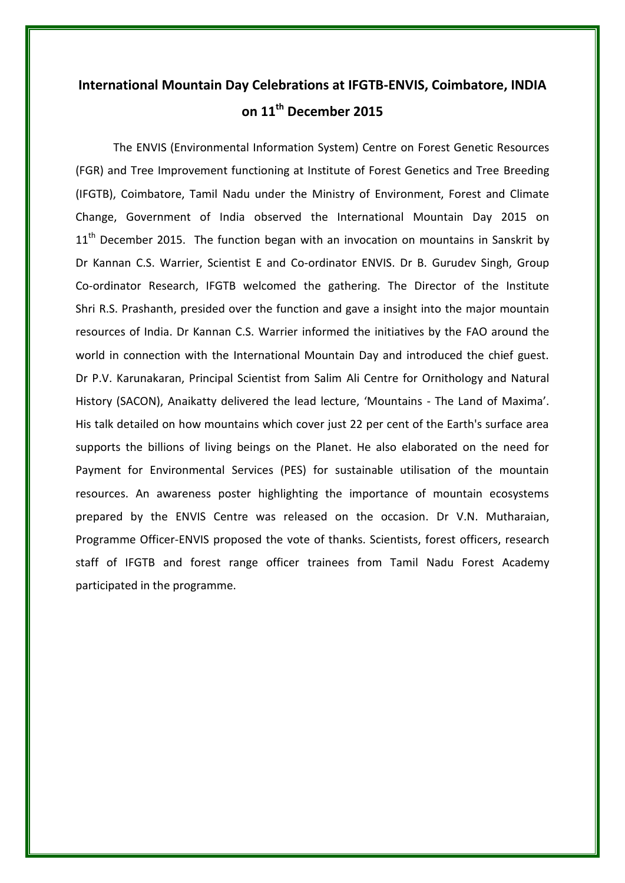## **International Mountain Day Celebrations at IFGTB-ENVIS, Coimbatore, INDIA on 11th December 2015**

The ENVIS (Environmental Information System) Centre on Forest Genetic Resources (FGR) and Tree Improvement functioning at Institute of Forest Genetics and Tree Breeding (IFGTB), Coimbatore, Tamil Nadu under the Ministry of Environment, Forest and Climate Change, Government of India observed the International Mountain Day 2015 on  $11<sup>th</sup>$  December 2015. The function began with an invocation on mountains in Sanskrit by Dr Kannan C.S. Warrier, Scientist E and Co-ordinator ENVIS. Dr B. Gurudev Singh, Group Co-ordinator Research, IFGTB welcomed the gathering. The Director of the Institute Shri R.S. Prashanth, presided over the function and gave a insight into the major mountain resources of India. Dr Kannan C.S. Warrier informed the initiatives by the FAO around the world in connection with the International Mountain Day and introduced the chief guest. Dr P.V. Karunakaran, Principal Scientist from Salim Ali Centre for Ornithology and Natural History (SACON), Anaikatty delivered the lead lecture, 'Mountains - The Land of Maxima'. His talk detailed on how mountains which cover just 22 per cent of the Earth's surface area supports the billions of living beings on the Planet. He also elaborated on the need for Payment for Environmental Services (PES) for sustainable utilisation of the mountain resources. An awareness poster highlighting the importance of mountain ecosystems prepared by the ENVIS Centre was released on the occasion. Dr V.N. Mutharaian, Programme Officer-ENVIS proposed the vote of thanks. Scientists, forest officers, research staff of IFGTB and forest range officer trainees from Tamil Nadu Forest Academy participated in the programme.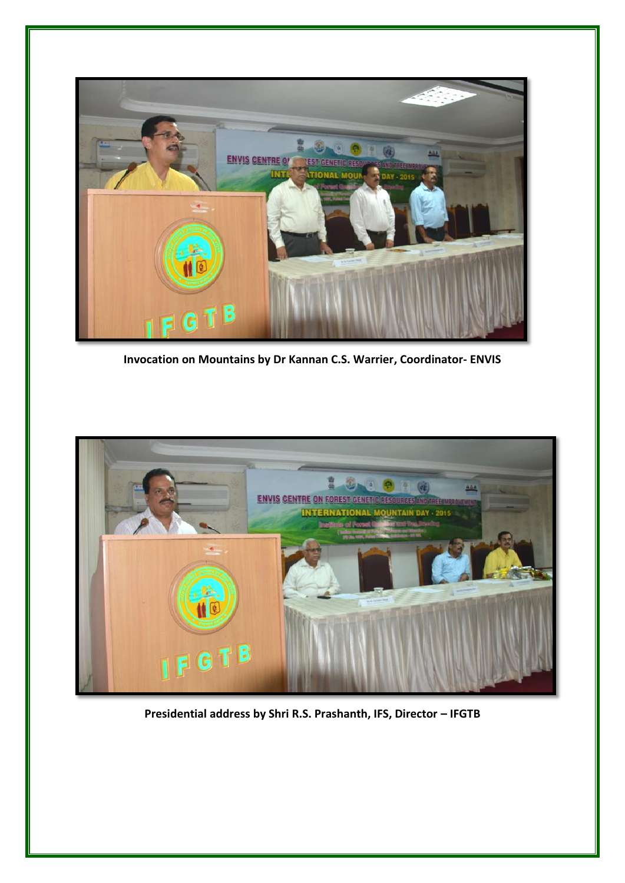

**Invocation on Mountains by Dr Kannan C.S. Warrier, Coordinator- ENVIS**



**Presidential address by Shri R.S. Prashanth, IFS, Director – IFGTB**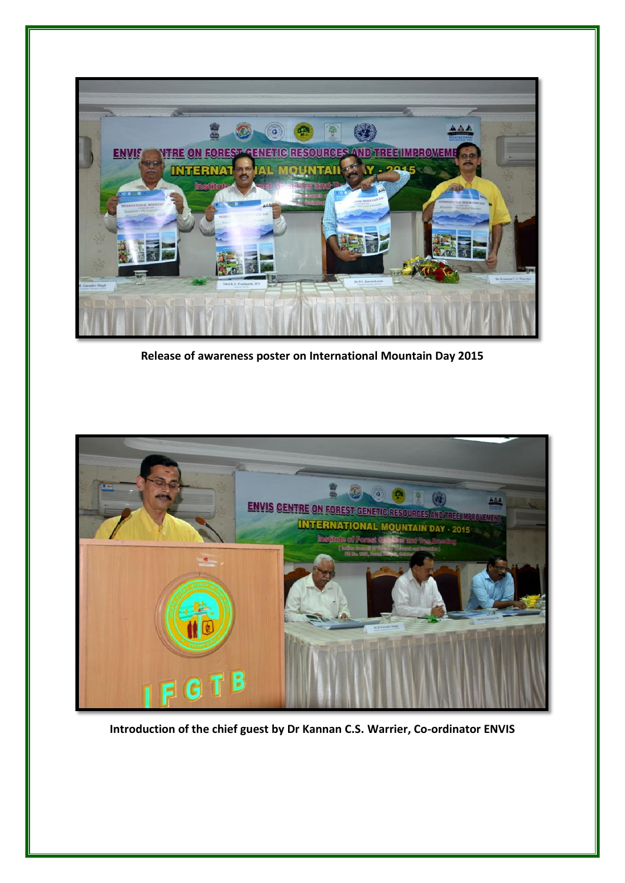

**Release of awareness poster on International Mountain Day 2015**



**Introduction of the chief guest by Dr Kannan C.S. Warrier, Co-ordinator ENVIS**